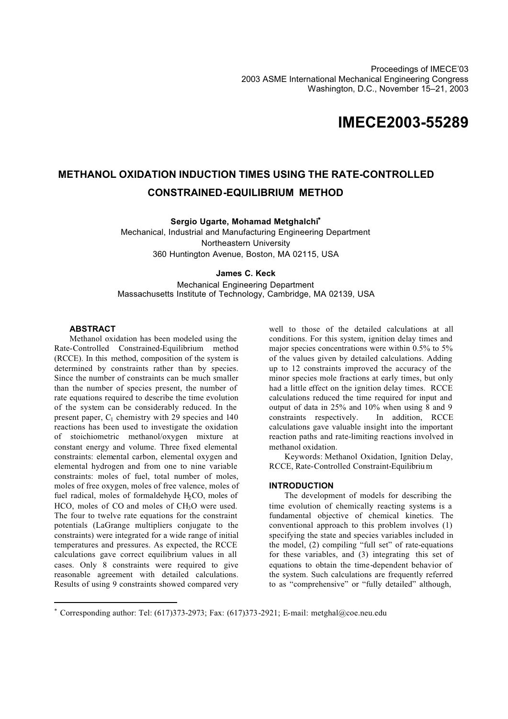# **IMECE2003-55289**

## **METHANOL OXIDATION INDUCTION TIMES USING THE RATE-CONTROLLED CONSTRAINED-EQUILIBRIUM METHOD**

**Sergio Ugarte, Mohamad Metghalchi<sup>∗</sup>**

Mechanical, Industrial and Manufacturing Engineering Department Northeastern University 360 Huntington Avenue, Boston, MA 02115, USA

## **James C. Keck**

Mechanical Engineering Department Massachusetts Institute of Technology, Cambridge, MA 02139, USA

## **ABSTRACT**

l

Methanol oxidation has been modeled using the Rate-Controlled Constrained-Equilibrium method (RCCE). In this method, composition of the system is determined by constraints rather than by species. Since the number of constraints can be much smaller than the number of species present, the number of rate equations required to describe the time evolution of the system can be considerably reduced. In the present paper,  $C_1$  chemistry with 29 species and 140 reactions has been used to investigate the oxidation of stoichiometric methanol/oxygen mixture at constant energy and volume. Three fixed elemental constraints: elemental carbon, elemental oxygen and elemental hydrogen and from one to nine variable constraints: moles of fuel, total number of moles, moles of free oxygen, moles of free valence, moles of fuel radical, moles of formaldehyde  $H_2CO$ , moles of HCO, moles of CO and moles of CH<sub>3</sub>O were used. The four to twelve rate equations for the constraint potentials (LaGrange multipliers conjugate to the constraints) were integrated for a wide range of initial temperatures and pressures. As expected, the RCCE calculations gave correct equilibrium values in all cases. Only 8 constraints were required to give reasonable agreement with detailed calculations. Results of using 9 constraints showed compared very

well to those of the detailed calculations at all conditions. For this system, ignition delay times and major species concentrations were within 0.5% to 5% of the values given by detailed calculations. Adding up to 12 constraints improved the accuracy of the minor species mole fractions at early times, but only had a little effect on the ignition delay times. RCCE calculations reduced the time required for input and output of data in 25% and 10% when using 8 and 9 constraints respectively. In addition, RCCE calculations gave valuable insight into the important reaction paths and rate-limiting reactions involved in methanol oxidation.

Keywords: Methanol Oxidation, Ignition Delay, RCCE, Rate-Controlled Constraint-Equilibriu m

## **INTRODUCTION**

The development of models for describing the time evolution of chemically reacting systems is a fundamental objective of chemical kinetics. The conventional approach to this problem involves (1) specifying the state and species variables included in the model, (2) compiling "full set" of rate-equations for these variables, and (3) integrating this set of equations to obtain the time-dependent behavior of the system. Such calculations are frequently referred to as "comprehensive" or "fully detailed" although,

<sup>∗</sup> Corresponding author: Tel: (617)373-2973; Fax: (617)373-2921; E-mail: metghal@coe.neu.edu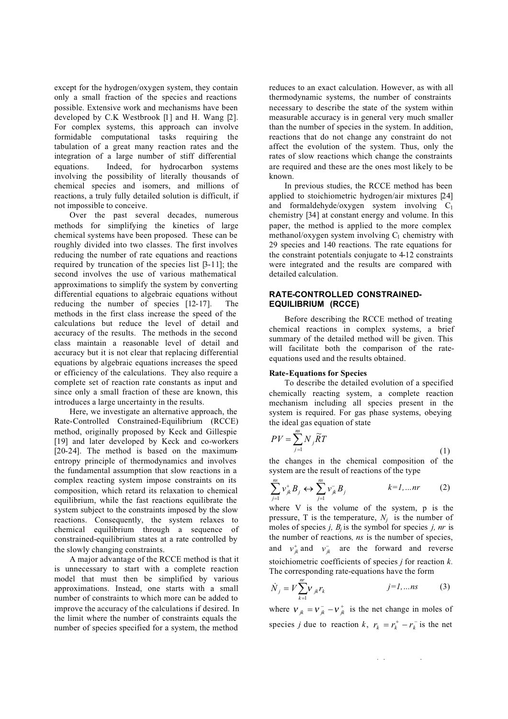except for the hydrogen/oxygen system, they contain only a small fraction of the species and reactions possible. Extensive work and mechanisms have been developed by C.K Westbrook [1] and H. Wang [2]. For complex systems, this approach can involve formidable computational tasks requiring the tabulation of a great many reaction rates and the integration of a large number of stiff differential equations. Indeed, for hydrocarbon systems involving the possibility of literally thousands of chemical species and isomers, and millions of reactions, a truly fully detailed solution is difficult, if not impossible to conceive.

Over the past several decades, numerous methods for simplifying the kinetics of large chemical systems have been proposed. These can be roughly divided into two classes. The first involves reducing the number of rate equations and reactions required by truncation of the species list [3-11]; the second involves the use of various mathematical approximations to simplify the system by converting differential equations to algebraic equations without reducing the number of species [12-17]. The methods in the first class increase the speed of the calculations but reduce the level of detail and accuracy of the results. The methods in the second class maintain a reasonable level of detail and accuracy but it is not clear that replacing differential equations by algebraic equations increases the speed or efficiency of the calculations. They also require a complete set of reaction rate constants as input and since only a small fraction of these are known, this introduces a large uncertainty in the results.

Here, we investigate an alternative approach, the Rate-Controlled Constrained-Equilibrium (RCCE) method, originally proposed by Keck and Gillespie [19] and later developed by Keck and co-workers [20-24]. The method is based on the maximumentropy principle of thermodynamics and involves the fundamental assumption that slow reactions in a complex reacting system impose constraints on its composition, which retard its relaxation to chemical equilibrium, while the fast reactions equilibrate the system subject to the constraints imposed by the slow reactions. Consequently, the system relaxes to chemical equilibrium through a sequence of constrained-equilibrium states at a rate controlled by the slowly changing constraints.

A major advantage of the RCCE method is that it is unnecessary to start with a complete reaction model that must then be simplified by various approximations. Instead, one starts with a small number of constraints to which more can be added to improve the accuracy of the calculations if desired. In the limit where the number of constraints equals the number of species specified for a system, the method

reduces to an exact calculation. However, as with all thermodynamic systems, the number of constraints necessary to describe the state of the system within measurable accuracy is in general very much smaller than the number of species in the system. In addition, reactions that do not change any constraint do not affect the evolution of the system. Thus, only the rates of slow reactions which change the constraints are required and these are the ones most likely to be known.

In previous studies, the RCCE method has been applied to stoichiometric hydrogen/air mixtures [24] and formaldehyde/oxygen system involving  $C_1$ chemistry [34] at constant energy and volume. In this paper, the method is applied to the more complex methanol/oxygen system involving  $C_1$  chemistry with 29 species and 140 reactions. The rate equations for the constraint potentials conjugate to 4-12 constraints were integrated and the results are compared with detailed calculation.

## **RATE-CONTROLLED CONSTRAINED-EQUILIBRIUM (RCCE)**

Before describing the RCCE method of treating chemical reactions in complex systems, a brief summary of the detailed method will be given. This will facilitate both the comparison of the rateequations used and the results obtained.

## **Rate-Equations for Species**

To describe the detailed evolution of a specified chemically reacting system, a complete reaction mechanism including all species present in the system is required. For gas phase systems, obeying the ideal gas equation of state

$$
PV = \sum_{j=1}^{ns} N_j \widetilde{R}T
$$
 (1)

the changes in the chemical composition of the system are the result of reactions of the type

$$
\sum_{j=1}^{ns} v_{jk}^{\dagger} B_j \leftrightarrow \sum_{j=1}^{ns} v_{jk}^- B_j \qquad k=1,...nr \qquad (2)
$$

where V is the volume of the system, p is the pressure, T is the temperature,  $N_i$  is the number of moles of species *j, Bj* is the symbol for species *j, nr* is the number of reactions*, ns* is the number of species, and  $v_{ik}^+$  and  $v_{ik}^-$  are the forward and reverse stoichiometric coefficients of species *j* for reaction *k.* The corresponding rate-equations have the form

$$
\dot{N}_j = V \sum_{k=1}^{nr} V_{jk} r_k \qquad j=1,...ns \qquad (3)
$$

where  $v_{jk} = v_{jk}^- - v_{jk}^+$  is the net change in moles of species *j* due to reaction *k*,  $r_k = r_k^+ - r_k^-$  is the net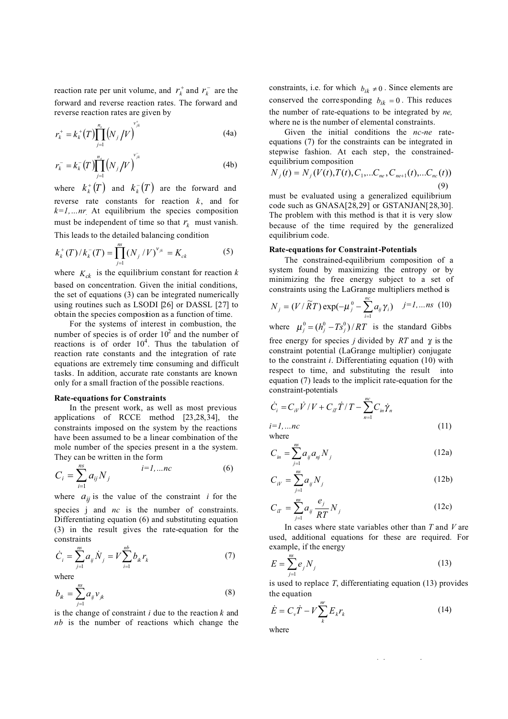reaction rate per unit volume, and  $r_k^+$  and  $r_k^-$  are the forward and reverse reaction rates. The forward and reverse reaction rates are given by

$$
r_k^+ = k_k^+(T) \prod_{j=1}^{n_s} \left( N_j / V \right)^{v_{jk}^+}
$$
 (4a)

$$
r_k^- = k_k^-(T) \prod_{j=1}^{n_s} \left( N_j / V \right)^{v_{jk}^-}
$$
 (4b)

where  $k_k^+(T)$  and  $k_k^-(T)$  are the forward and reverse rate constants for reaction *k*, and for  $k=1,...nr$ . At equilibrium the species composition must be independent of time so that  $r_k$  must vanish. This leads to the detailed balancing condition

$$
k_k^+(T)/k_k^-(T) = \prod_{j=1}^{ns} (N_j / V)^{\nu_{jk}} = K_{ck}
$$
 (5)

where  $K_{ck}$  is the equilibrium constant for reaction  $k$ based on concentration. Given the initial conditions, the set of equations (3) can be integrated numerically using routines such as LSODI [26] or DASSL [27] to obtain the species composition as a function of time.

For the systems of interest in combustion, the number of species is of order  $10^2$  and the number of reactions is of order  $10^4$ . Thus the tabulation of reaction rate constants and the integration of rate equations are extremely time consuming and difficult tasks. In addition, accurate rate constants are known only for a small fraction of the possible reactions.

## **Rate-equations for Constraints**

In the present work, as well as most previous applications of RCCE method [23,28,34], the constraints imposed on the system by the reactions have been assumed to be a linear combination of the mole number of the species present in a the system. They can be written in the form

$$
C_i = \sum_{i=1}^{ns} a_{ij} N_j \qquad i=1,...nc \qquad (6)
$$

where  $a_{ij}$  is the value of the constraint *i* for the species *i* and *nc* is the number of constraints. Differentiating equation (6) and substituting equation (3) in the result gives the rate-equation for the constraints

$$
\dot{C}_i = \sum_{j=1}^{ns} a_{ij} \dot{N}_j = V \sum_{i=1}^{nb} b_{ik} r_k \tag{7}
$$

where

$$
b_{ik} = \sum_{j=1}^{ns} a_{ij} v_{jk}
$$
 (8)

is the change of constraint *i* due to the reaction *k* and *nb* is the number of reactions which change the constraints, i.e. for which  $b_{ik} \neq 0$ . Since elements are conserved the corresponding  $b_{ik} = 0$ . This reduces the number of rate-equations to be integrated by *ne,*  where ne is the number of elemental constraints.

Given the initial conditions the *nc-ne* rateequations (7) for the constraints can be integrated in stepwise fashion. At each step, the constrainedequilibrium composition

$$
N_j(t) = N_j(V(t), T(t), C_1, \dots, C_{ne}, C_{ne+1}(t), \dots, C_{nc}(t))
$$
\n(9)

must be evaluated using a generalized equilibrium code such as GNASA[28,29] or GSTANJAN[28,30]. The problem with this method is that it is very slow because of the time required by the generalized equilibrium code.

#### **Rate-equations for Constraint-Potentials**

The constrained-equilibrium composition of a system found by maximizing the entropy or by minimizing the free energy subject to a set of constraints using the LaGrange multipliers method is

$$
N_{j} = (V/\widetilde{R}T) \exp(-\mu_{j}^{0} - \sum_{i=1}^{nc} a_{ij} \gamma_{i}) \quad j=1,...ns \ (10)
$$

where  $\mu_i^0 = (h_i^0 - Ts_i^0)/RT$  is the standard Gibbs free energy for species *j* divided by *RT* and γ*<sup>i</sup>* is the

constraint potential (LaGrange multiplier) conjugate to the constraint *i*. Differentiating equation (10) with respect to time, and substituting the result into equation (7) leads to the implicit rate-equation for the constraint-potentials

$$
\dot{C}_i = C_{i\nu} \dot{V} / V + C_{i\tau} \dot{T} / T - \sum_{n=1}^{nc} C_{in} \dot{\gamma}_n
$$
  
i=1,...nc (11)

where

$$
C_{in} = \sum_{j=1}^{ns} a_{ij} a_{nj} N_j
$$
 (12a)

$$
C_{iV} = \sum_{j=1}^{nS} a_{ij} N_j
$$
 (12b)

$$
C_{i} = \sum_{j=1}^{n} a_{ij} \frac{e_j}{RT} N_j
$$
 (12c)

In cases where state variables other than *T* and *V* are used, additional equations for these are required. For example, if the energy

$$
E = \sum_{j=1}^{ns} e_j N_j
$$
 (13)

is used to replace *T*, differentiating equation (13) provides the equation

$$
\dot{E} = C_v \dot{T} - V \sum_{k}^{m} E_k r_k \tag{14}
$$

where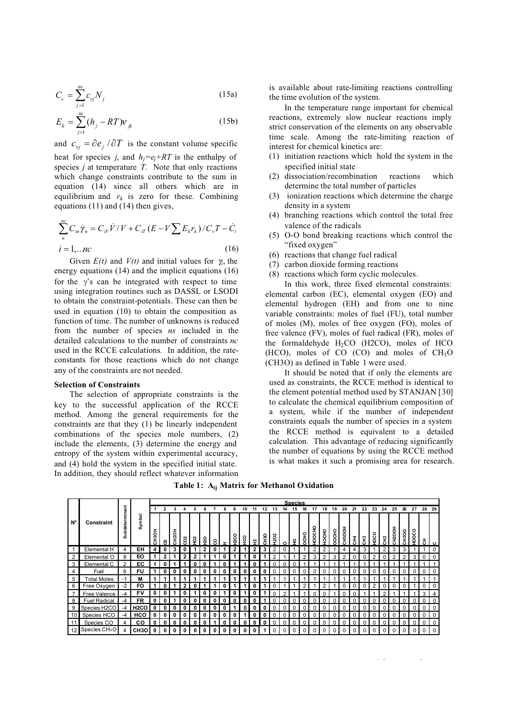$$
C_{v} = \sum_{j=1}^{ns} c_{vj} N_j
$$
 (15a)

$$
E_k = \sum_{j=1}^{ns} (h_j - RT)\mathcal{V}_{jk}
$$
 (15b)

and  $c_{vi} = \partial e_i / \partial T$  is the constant volume specific heat for species *j*, and  $h_i = e_i + RT$  is the enthalpy of species  $j$  at temperature  $\overline{T}$ . Note that only reactions which change constraints contribute to the sum in equation (14) since all others which are in equilibrium and  $r_k$  is zero for these. Combining equations (11) and (14) then gives,

$$
\sum_{n}^{n_{c}} C_{in} \dot{\gamma}_{n} = C_{iV} \dot{V} / V + C_{iT} (E - V \sum E_{k} r_{k}) / C_{v} T - \dot{C}_{i}
$$
  
\n
$$
i = 1,...n c
$$
 (16)

Given  $E(t)$  and  $V(t)$  and initial values for  $\gamma$ , the energy equations (14) and the implicit equations (16) for the  $\gamma$ 's can be integrated with respect to time using integration routines such as DASSL or LSODI to obtain the constraint-potentials. These can then be used in equation (10) to obtain the composition as function of time. The number of unknowns is reduced from the number of species *ns* included in the detailed calculations to the number of constraints *nc*  used in the RCCE calculations*.* In addition, the rateconstants for those reactions which do not change any of the constraints are not needed.

#### **Selection of Constraints**

The selection of appropriate constraints is the key to the successful application of the RCCE method. Among the general requirements for the constraints are that they (1) be linearly independent combinations of the species mole numbers, (2) include the elements, (3) determine the energy and entropy of the system within experimental accuracy, and (4) hold the system in the specified initial state. In addition, they should reflect whatever information

is available about rate-limiting reactions controlling the time evolution of the system.

In the temperature range important for chemical reactions, extremely slow nuclear reactions imply strict conservation of the elements on any observable time scale. Among the rate-limiting reaction of interest for chemical kinetics are:

- (1) initiation reactions which hold the system in the specified initial state
- (2) dissociation/recombination reactions which determine the total number of particles
- (3) ionization reactions which determine the charge density in a system
- (4) branching reactions which control the total free valence of the radicals
- (5) O-O bond breaking reactions which control the "fixed oxygen"
- (6) reactions that change fuel radical
- (7) carbon dioxide forming reactions
- (8) reactions which form cyclic molecules.

In this work, three fixed elemental constraints: elemental carbon (EC), elemental oxygen (EO) and elemental hydrogen (EH) and from one to nine variable constraints: moles of fuel (FU), total number of moles (M), moles of free oxygen (FO), moles of free valence (FV), moles of fuel radical (FR), moles of the formaldehyde  $H_2CO$  (H2CO), moles of HCO  $(HCO)$ , moles of CO  $(CO)$  and moles of  $CH<sub>3</sub>O$ (CH3O) as defined in Table 1 were used.

It should be noted that if only the elements are used as constraints, the RCCE method is identical to the element potential method used by STANJAN [30] to calculate the chemical equilibrium composition of a system, while if the number of independent constraints equals the number of species in a system the RCCE method is equivalent to a detailed calculation. This advantage of reducing significantly the number of equations by using the RCCE method is what makes it such a promising area for research.

**Table 1: Aij Matrix for Methanol Oxidation**

|                |                           |                |                   |                        |   |                         |   |    |    |   |   |         |    |              |          |                  |   |   | <b>Species</b> |              |       |       |                 |    |    |               |    |                  |              |          |                |          |  |
|----------------|---------------------------|----------------|-------------------|------------------------|---|-------------------------|---|----|----|---|---|---------|----|--------------|----------|------------------|---|---|----------------|--------------|-------|-------|-----------------|----|----|---------------|----|------------------|--------------|----------|----------------|----------|--|
| $N^{\circ}$    | <b>Constraint</b>         |                |                   |                        | 2 | 3                       |   |    |    |   |   |         | 10 |              |          |                  |   |   |                |              |       | 19    | 20              | 21 | 22 | 23            | 24 | 25               | 26           | 27       | 28             | 29       |  |
|                |                           | Subdeterminant | Symbol            | I<br>CH <sub>3</sub> O | 8 | Ŧ.<br>CH <sub>2</sub> O | g | ଼ି | န္ | ႙ |   | o<br>ន្ | ့ဒ | ∾            | Sер<br>С | H <sub>2O2</sub> | o | 우 | OHO            | <b>POCHO</b> | 40СНО | OOCHO | 풍<br><b>SHS</b> | 좄  | 푽  | $\frac{8}{9}$ | 웊  | ᅗ<br><b>DOH:</b> | <b>CH3OO</b> | HOOCO    | $\overline{5}$ | ്        |  |
|                | Elemental H               | 4              | EH                | 4                      |   | 3                       |   |    | 2  |   |   | 2       |    | $\mathbf{2}$ | 3        | 2                |   |   |                |              |       |       |                 |    | 3  |               | 2  | 3                | 3            |          |                | $\Omega$ |  |
| $\overline{2}$ | Elemental O               | 8              | EO                |                        |   |                         |   |    |    |   |   |         |    |              |          |                  |   |   |                |              |       |       |                 |    |    |               |    |                  |              | 3        |                |          |  |
| 3              | Elemental C               | $\overline{2}$ | EC                |                        |   |                         |   |    |    |   |   |         |    |              |          |                  |   |   |                |              |       |       |                 |    |    |               |    |                  |              |          |                |          |  |
| 4              | Fuel                      | 6              | FU                |                        |   |                         |   | 0  | 0  |   | 0 | 0       | 0  | 0            | 0        |                  |   |   |                |              |       |       | 0               |    |    |               | U  |                  | 0            | 0        | $\Omega$       | $\Omega$ |  |
| 5              | <b>Total Moles</b>        | $-1$           | м                 |                        |   |                         |   |    |    |   |   |         |    |              |          |                  |   |   |                |              |       |       |                 |    |    |               |    |                  |              |          |                |          |  |
| 6              | Free Oxygen               | $-2$           | <b>FO</b>         |                        |   |                         |   |    |    |   | O |         |    | 0            |          |                  |   |   | っ              |              | ◠     |       |                 |    |    | C             | U  |                  | U            |          |                |          |  |
| $\overline{7}$ | Free Valence              | -4             | FV                | 0                      |   |                         |   |    |    |   |   |         |    |              |          |                  |   |   |                |              |       |       |                 |    |    |               |    |                  |              |          | 3              |          |  |
| 8              | <b>Fuel Radical</b>       |                | <b>FR</b>         |                        |   |                         |   |    |    |   |   |         |    |              |          |                  |   |   |                |              |       |       |                 |    |    |               |    |                  |              |          |                |          |  |
| 9              | Species H2CO              | -4             | H <sub>2</sub> CO | 0                      |   |                         |   |    |    |   |   |         |    |              |          |                  |   |   |                |              |       |       |                 |    |    |               |    |                  | 0            | 0        |                | $\Omega$ |  |
| 10             | Species HCO               | -4             | HCO               | 0                      | 0 | 0                       |   |    |    |   |   |         |    |              |          |                  |   |   |                |              |       |       |                 |    |    |               |    |                  | 0            | 0        |                | $\Omega$ |  |
| 11             | Species CO                |                | <b>CO</b>         | 0                      |   |                         |   |    |    |   |   |         |    |              |          |                  |   |   |                |              |       |       |                 |    |    |               |    |                  |              |          |                |          |  |
| 12             | Species CH <sub>3</sub> O | 4              | CH <sub>3</sub> O | 0                      |   |                         |   |    |    |   |   |         |    |              |          |                  |   |   |                |              |       |       |                 |    |    |               | 0  |                  | $\Omega$     | $\Omega$ | $\Omega$       | $\Omega$ |  |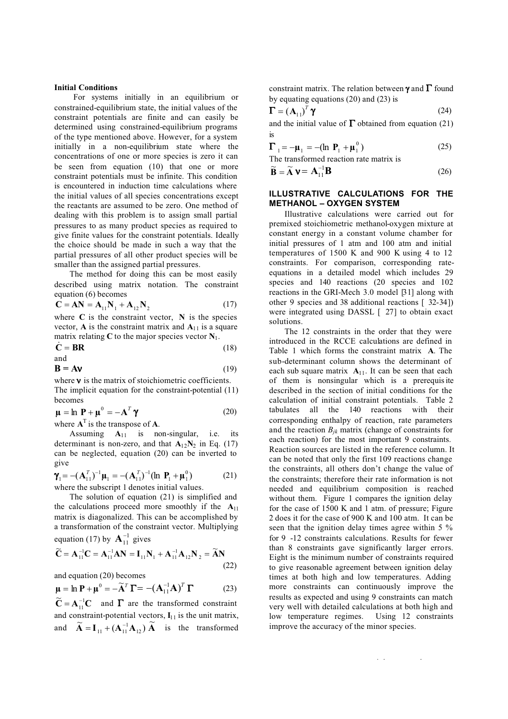## **Initial Conditions**

For systems initially in an equilibrium or constrained-equilibrium state, the initial values of the constraint potentials are finite and can easily be determined using constrained-equilibrium programs of the type mentioned above. However, for a system initially in a non-equilibrium state where the concentrations of one or more species is zero it can be seen from equation (10) that one or more constraint potentials must be infinite. This condition is encountered in induction time calculations where the initial values of all species concentrations except the reactants are assumed to be zero. One method of dealing with this problem is to assign small partial pressures to as many product species as required to give finite values for the constraint potentials. Ideally the choice should be made in such a way that the partial pressures of all other product species will be smaller than the assigned partial pressures.

The method for doing this can be most easily described using matrix notation. The constraint equation (6) becomes

$$
\mathbf{C} = \mathbf{A}\mathbf{N} = \mathbf{A}_{11}\mathbf{N}_1 + \mathbf{A}_{12}\mathbf{N}_2
$$
 (17)

where  $C$  is the constraint vector,  $N$  is the species vector, **A** is the constraint matrix and  $A_{11}$  is a square

matrix relating C to the major species vector 
$$
N_1
$$
.  
\n $\dot{C} = BR$  (18)

$$
\mathbf{B} = \mathbf{A}\mathbf{v} \tag{19}
$$

where **ν** is the matrix of stoichiometric coefficients. The implicit equation for the constraint-potential (11) becomes

$$
\mathbf{\mu} = \ln \mathbf{P} + \mathbf{\mu}^0 = -\mathbf{A}^T \mathbf{\gamma}
$$
 (20)

where  $A<sup>T</sup>$  is the transpose of  $A$ .

and

Assuming **A**11 is non-singular, i.e. its determinant is non-zero, and that  $A_{12}N_2$  in Eq. (17) can be neglected, equation (20) can be inverted to give

$$
\gamma_1 = -(\mathbf{A}_{11}^T)^{-1}\mathbf{\mu}_1 = -(\mathbf{A}_{11}^T)^{-1}(\ln \mathbf{P}_1 + \mathbf{\mu}_1^0)
$$
 (21)  
where the subscript 1 denotes initial values.

The solution of equation (21) is simplified and the calculations proceed more smoothly if the  $A_{11}$ matrix is diagonalized. This can be accomplished by a transformation of the constraint vector. Multiplying equation (17) by  $A_{11}^{-1}$  gives

$$
\widetilde{C} = A_{11}^{-1}C = A_{11}^{-1}AN = I_{11}N_1 + A_{11}^{-1}A_{12}N_2 = \widetilde{AN}
$$
\n(22)

and equation (20) becomes

$$
\mu = \ln \mathbf{P} + \mu^0 = -\widetilde{\mathbf{A}}^T \mathbf{\Gamma} = -(\mathbf{A}_{11}^{-1} \mathbf{A})^T \mathbf{\Gamma}
$$
 (23)

 $\widetilde{\mathbf{C}} = \mathbf{A}_{11}^{-1} \mathbf{C}$  $\widetilde{\mathbf{C}} = \mathbf{A}_{11}^{-1}\mathbf{C}$  and  $\mathbf{\Gamma}$  are the transformed constraint and constraint-potential vectors,  $I_{11}$  is the unit matrix, and  $\widetilde{A} = I_{11} + (A_{11}^{-1}A_{12})\widetilde{A}$  is the transformed

constraint matrix. The relation between **γ** and **Γ** found by equating equations  $(20)$  and  $(23)$  is

$$
\mathbf{\Gamma} = \left(\mathbf{A}_{11}\right)^T \mathbf{\gamma} \tag{24}
$$

and the initial value of  $\Gamma$  obtained from equation (21) is

$$
\Gamma_1 = -\mu_1 = -(\ln \, P_1 + \mu_1^0) \tag{25}
$$

The transformed reaction rate matrix is

$$
\widetilde{\mathbf{B}} = \widetilde{\mathbf{A}} \; \mathbf{V} = \mathbf{A}_{11}^{-1} \mathbf{B}
$$
 (26)

## **ILLUSTRATIVE CALCULATIONS FOR THE METHANOL – OXYGEN SYSTEM**

Illustrative calculations were carried out for premixed stoichiometric methanol-oxygen mixture at constant energy in a constant volume chamber for initial pressures of 1 atm and 100 atm and initial temperatures of 1500 K and 900 K using 4 to 12 constraints. For comparison, corresponding rateequations in a detailed model which includes 29 species and 140 reactions (20 species and 102 reactions in the GRI-Mech 3.0 model [31] along with other 9 species and 38 additional reactions [ 32-34]) were integrated using DASSL [ 27] to obtain exact solutions.

The 12 constraints in the order that they were introduced in the RCCE calculations are defined in Table 1 which forms the constraint matrix **A**. The sub-determinant column shows the determinant of each sub square matrix  $A_{11}$ . It can be seen that each of them is nonsingular which is a prerequis ite described in the section of initial conditions for the calculation of initial constraint potentials. Table 2 tabulates all the 140 reactions with their corresponding enthalpy of reaction, rate parameters and the reaction  $B_{ik}$  matrix (change of constraints for each reaction) for the most important 9 constraints. Reaction sources are listed in the reference column. It can be noted that only the first 109 reactions change the constraints, all others don't change the value of the constraints; therefore their rate information is not needed and equilibrium composition is reached without them. Figure 1 compares the ignition delay for the case of 1500 K and 1 atm. of pressure; Figure 2 does it for the case of 900 K and 100 atm. It can be seen that the ignition delay times agree within 5 % for 9 -12 constraints calculations. Results for fewer than 8 constraints gave significantly larger errors. Eight is the minimum number of constraints required to give reasonable agreement between ignition delay times at both high and low temperatures. Adding more constraints can continuously improve the results as expected and using 9 constraints can match very well with detailed calculations at both high and low temperature regimes. Using 12 constraints improve the accuracy of the minor species.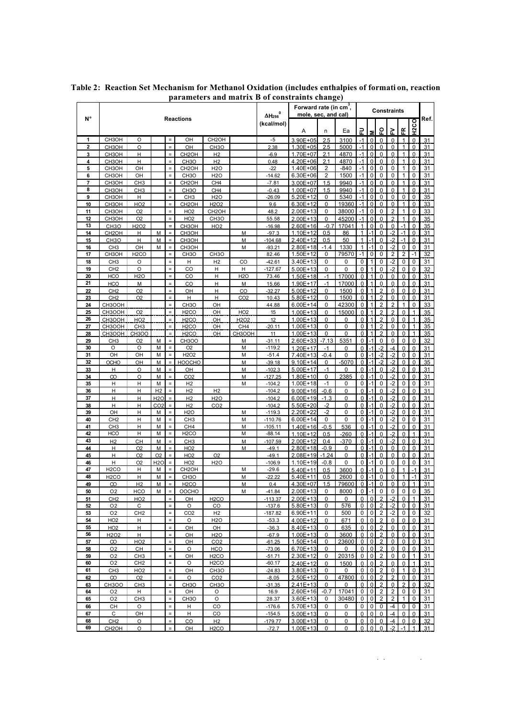|                     |                                           |                                    |                              |                      |                                         |                                         | arameters and matrix D or constraints enange)    | Forward rate (in $cm^3$ , |                          | <b>Constraints</b>    |                  |                            |                               |                                  |                                  |                   |                             |                |
|---------------------|-------------------------------------------|------------------------------------|------------------------------|----------------------|-----------------------------------------|-----------------------------------------|--------------------------------------------------|---------------------------|--------------------------|-----------------------|------------------|----------------------------|-------------------------------|----------------------------------|----------------------------------|-------------------|-----------------------------|----------------|
| N°                  |                                           |                                    |                              |                      | <b>Reactions</b>                        |                                         | $\Delta H_{298}$<br>(kcal/mol)                   | mole, sec, and cal)       |                          |                       |                  |                            |                               |                                  |                                  | H <sub>2CO</sub>  | Ref.                        |                |
|                     |                                           |                                    |                              |                      |                                         |                                         |                                                  |                           | Α                        | n                     | Ea               | 군                          |                               | 요                                | ≳                                | Æ                 |                             |                |
| 1<br>$\mathbf{2}$   | CH3OH<br>CH <sub>3</sub> OH               | O<br>$\circ$                       |                              |                      | OH<br>OH                                | CH <sub>2</sub> OH<br>CH <sub>3</sub> O |                                                  | $-5$<br>2.38              | 3.90E+05<br>1.30E+05     | 2.5<br>2.5            | 3100<br>5000     | $-1$<br>$-1$               | $\mathbf{0}$<br>0             | $\Omega$<br>$\mathbf 0$          | $\mathbf 0$<br>0                 | 1<br>1            | $\Omega$<br>$\mathbf 0$     | 31<br>31       |
| 3                   | CH <sub>3</sub> OH                        | H                                  |                              |                      | CH <sub>2</sub> OH                      | H <sub>2</sub>                          |                                                  | $-6.9$                    | 1.70E+07                 | 2.1                   | 4870             | $-1$                       | $\Omega$                      | $\Omega$                         | 0                                | 1                 | $\Omega$                    | 31             |
| 4                   | CH <sub>3</sub> OH                        | н                                  |                              | Ξ                    | CH <sub>3</sub> O                       | H <sub>2</sub>                          |                                                  | 0.48                      | 4.20E+06                 | 2.1                   | 4870             | $-1$                       | $\mathbf 0$                   | $\mathbf 0$                      | 0                                | 1                 | $\mathbf 0$                 | 31             |
| 5                   | CH3OH                                     | OH                                 |                              | $\equiv$             | CH <sub>2</sub> OH                      | <b>H2O</b>                              |                                                  | $-22$                     | 1.40E+06                 | 2                     | $-840$           | $-1$                       | $\mathbf 0$                   | $\mathbf 0$                      | 0                                | 1                 | 0                           | 31             |
| 6<br>$\overline{7}$ | CH <sub>3</sub> OH<br>CH <sub>3</sub> OH  | OH<br>CH <sub>3</sub>              |                              | $\equiv$             | CH <sub>3</sub> O<br>CH <sub>2</sub> OH | <b>H2O</b><br>CH <sub>4</sub>           |                                                  | $-14.62$<br>$-7.81$       | 6.30E+06<br>3.00E+07     | $\overline{2}$<br>1.5 | 1500<br>9940     | $-1$<br>$-1$               | $\pmb{0}$<br>$\mathbf 0$      | 0<br>$\mathbf 0$                 | 0<br>0                           | 1<br>1            | 0<br>$\mathbf 0$            | 31<br>31       |
| 8                   | CH <sub>3</sub> OH                        | CH <sub>3</sub>                    |                              | $\equiv$             | CH <sub>3</sub> O                       | CH <sub>4</sub>                         |                                                  | $-0.43$                   | 1.00E+07                 | 1.5                   | 9940             | $-1$                       | $\Omega$                      | $\Omega$                         | $\mathbf{0}$                     | $\mathbf{1}$      | $\Omega$                    | 31             |
| 9                   | CH <sub>3</sub> OH                        | н                                  |                              | ÷                    | CH <sub>3</sub>                         | <b>H2O</b>                              |                                                  | $-26.09$                  | 5.20E+12                 | 0                     | 5340             | $-1$                       | $\mathbf 0$                   | $\mathbf 0$                      | $\mathbf 0$                      | $\mathbf 0$       | 0                           | 35             |
| 10                  | CH <sub>3</sub> OH                        | HO <sub>2</sub>                    |                              |                      | CH <sub>2</sub> OH                      | H <sub>2</sub> O <sub>2</sub>           |                                                  | 9.6                       | 6.30E+12                 | $\Omega$              | 19360            | $-1$                       | $\Omega$                      | $\Omega$                         | $\overline{0}$                   | 1                 | $\Omega$                    | 33             |
| 11<br>12            | CH <sub>3</sub> OH<br>CH <sub>3</sub> OH  | O <sub>2</sub><br>O <sub>2</sub>   |                              | $\equiv$<br>$\equiv$ | HO <sub>2</sub><br>HO <sub>2</sub>      | CH <sub>2</sub> OH<br>CH <sub>3</sub> O |                                                  | 48.2<br>55.58             | 2.00E+13<br>2.00E+13     | 0<br>0                | 38000<br>45200   | $-1$<br>$-1$               | $\mathbf 0$<br>$\mathbf 0$    | 0<br>$\mathbf 0$                 | $\overline{2}$<br>$\overline{2}$ | $\mathbf{1}$<br>1 | 0<br>0                      | 33<br>35       |
| 13                  | CH <sub>3</sub> O                         | H <sub>2</sub> O <sub>2</sub>      |                              | $=$                  | CH3OH                                   | HO <sub>2</sub>                         |                                                  | $-16.98$                  | 2.60E+16                 | $-0.7$                | 17041            | 1                          | $\Omega$                      | $\Omega$                         | 0                                | $-1$              | $\Omega$                    | 35             |
| 14                  | CH <sub>2</sub> OH                        | н                                  | M                            |                      | CH3OH                                   |                                         | M                                                | $-97.3$                   | 1.10E+12                 | 0.5                   | 86               | 1                          |                               | $\mathbf 0$                      | $-2$                             | $-1$              | 0                           | 31             |
| 15                  | CH <sub>3</sub> O                         | н                                  | M                            |                      | CH3OH                                   |                                         | M                                                | $-104.68$                 | 2.40E+12                 | 0.5                   | 50               | 1                          |                               | $\Omega$                         | $\overline{2}$                   | -1                | $\Omega$                    | 31             |
| 16<br>17            | CH <sub>3</sub><br>CH <sub>3</sub> OH     | OH<br>H <sub>2</sub> CO            | M                            | $\equiv$<br>$\equiv$ | CH3OH<br>CH <sub>3</sub> O              | CH <sub>3</sub> O                       | M                                                | $-93.21$<br>82.46         | 2.80E+18<br>1.50E+12     | $-1.4$<br>0           | 1330<br>79570    | $\mathbf{1}$<br>$-1$       | $-1$<br>0                     | 0<br>0                           | $-2$<br>$\mathbf 2$              | 0<br>2            | 0<br>$-1$                   | 31<br>32       |
| 18                  | CH <sub>3</sub>                           | O                                  |                              | $\equiv$             | н                                       | H <sub>2</sub>                          | CO                                               | $-42.61$                  | 3.40E+13                 | 0                     | 0                | 0                          | 1                             | $\mathbf 0$                      | -2                               | 0                 | 0                           | 31             |
| 19                  | CH <sub>2</sub>                           | O                                  |                              | $\equiv$             | CO                                      | н                                       | н                                                | $-127.67$                 | $5.00E + 13$             | 0                     | 0                | $\mathbf 0$                | 1                             | $\Omega$                         | $-2$                             | 0                 | 0                           | 32             |
| 20                  | <b>HCO</b>                                | <b>H2O</b>                         |                              | $\equiv$             | CO                                      | Н                                       | H <sub>2</sub> O                                 | 73.46                     | 1.50E+18                 | $-1$                  | 17000            | $\mathbf 0$                | 1                             | $\mathbf 0$                      | 0                                | 0                 | $\mathbf 0$                 | 31             |
| 21<br>22            | <b>HCO</b><br>CH <sub>2</sub>             | M<br>O <sub>2</sub>                |                              |                      | CO<br>OH                                | H<br>H                                  | M<br>CO                                          | 15.66<br>$-32.27$         | 1.90E+17<br>5.00E+12     | $-1$<br>0             | 17000<br>1500    | $\mathbf 0$<br>$\mathbf 0$ | 1                             | $\mathbf 0$<br>$\overline{2}$    | 0<br>0                           | 0<br>0            | $\Omega$<br>$\mathbf 0$     | 31<br>31       |
| 23                  | CH <sub>2</sub>                           | O <sub>2</sub>                     |                              | $\equiv$             | H                                       | H                                       | CO <sub>2</sub>                                  | 10.43                     | 5.80E+12                 | $\Omega$              | 1500             | $\Omega$                   | 1                             | $\overline{2}$                   | 0                                | 0                 | $\Omega$                    | 31             |
| 24                  | CH3OOH                                    |                                    |                              | $\equiv$             | CH <sub>3</sub> O                       | OH                                      |                                                  | 44.88                     | 6.00E+14                 | 0                     | 42300            | 0                          | 1                             | $\overline{2}$                   | 2                                | 1                 | 0                           | 33             |
| 25                  | CH3OOH                                    | O <sub>2</sub>                     |                              | $\equiv$             | H <sub>2</sub> CO                       | OH                                      | HO <sub>2</sub>                                  | 15                        | 1.00E+13                 | 0                     | 15000            | $\mathbf 0$                |                               | $\overline{2}$                   | $\overline{2}$                   | 0                 | 1                           | 35             |
| 26<br>27            | CH3OOH<br>CH3OOH                          | <b>HO2</b><br>CH3                  |                              | $\equiv$             | H <sub>2</sub> CO<br>H <sub>2</sub> CO  | OH<br>OH                                | H <sub>2</sub> O <sub>2</sub><br>CH <sub>4</sub> | 12<br>$-20.11$            | 1.00E+13<br>1.00E+13     | 0<br>0                | 0<br>0           | 0<br>0                     | 1                             | $\overline{2}$<br>$\overline{2}$ | 0<br>0                           | 0<br>0            | 1<br>$\mathbf{1}$           | 35<br>35       |
| 28                  | CH3OOH                                    | <b>CH3OO</b>                       |                              | $=$                  | H <sub>2</sub> CO                       | OH                                      | CH3OOH                                           | 11                        | $1.00E + 13$             | 0                     | $\Omega$         | $\Omega$                   |                               | $\overline{2}$                   | 0                                | $\Omega$          | $\mathbf{1}$                | 35             |
| 29                  | CH3                                       | O <sub>2</sub>                     | M                            | $=$                  | <b>CH3OO</b>                            |                                         | М                                                | $-31.11$                  | 2.60E+33                 | $-7.13$               | 5351             | $\pmb{0}$                  |                               | $\pmb{0}$                        | 0                                | 0                 | 0                           | 32             |
| 30                  | O                                         | O                                  | M                            | $\equiv$             | O <sub>2</sub>                          |                                         | М                                                | $-119.2$                  | 1.20E+17                 | $-1$                  | 0                | 0                          |                               | $-2$                             | $-4$                             | 0                 | 0                           | 31             |
| 31<br>32            | OH<br><b>OCHO</b>                         | OH<br>OH                           | M<br>M                       | $\equiv$             | H <sub>2</sub> O <sub>2</sub><br>HOOCHO |                                         | M<br>M                                           | $-51.4$<br>$-39.18$       | 7.40E+13<br>9.10E+14     | $-0.4$<br>0           | 0<br>5070        | 0<br>0                     | $\cdot$ 1                     | $-2$<br>$-2$                     | $-2$<br>$-2$                     | 0<br>0            | $\Omega$<br>$\mathbf 0$     | 31<br>35       |
| 33                  | н                                         | O                                  | M                            | $\equiv$             | OH                                      |                                         | М                                                | $-102.3$                  | 5.00E+17                 | $-1$                  | 0                | $\Omega$                   |                               | $\Omega$                         | $-2$                             | 0                 | $\Omega$                    | 31             |
| 34                  | ထ                                         | O                                  | M                            |                      | CO <sub>2</sub>                         |                                         | M                                                | $-127.25$                 | 1.80E+10                 | 0                     | 2385             | $\mathbf 0$                |                               | $\mathbf 0$                      | $-2$                             | 0                 | 0                           | 31             |
| 35                  | н                                         | н                                  | M                            | $=$                  | H <sub>2</sub>                          |                                         | М                                                | $-104.2$                  | $1.00E + 18$             | $-1$                  | 0                | 0                          |                               | 0                                | -2                               | 0                 | 0                           | 31             |
| 36<br>37            | н<br>H                                    | н<br>H                             | H <sub>2</sub><br><b>H2O</b> |                      | H <sub>2</sub><br>H <sub>2</sub>        | H <sub>2</sub><br><b>H2O</b>            |                                                  | $-104.2$<br>$-104.2$      | 9.00E+16<br>$6.00E + 19$ | $-0.6$<br>$-1.3$      | 0<br>0           | $\Omega$<br>$\mathbf 0$    |                               | $\Omega$<br>$\mathbf 0$          | $-2$<br>$-2$                     | 0<br>0            | $\Omega$<br>$\mathbf 0$     | 31<br>31       |
| 38                  | Н                                         | н                                  | CO <sub>2</sub>              | $=$                  | H <sub>2</sub>                          | CO <sub>2</sub>                         |                                                  | $-104.2$                  | 5.50E+20                 | -2                    | 0                | $\Omega$                   |                               | $\Omega$                         | $-2$                             | 0                 | $\Omega$                    | 31             |
| 39                  | OH                                        | н                                  | М                            |                      | <b>H2O</b>                              |                                         | М                                                | <u>-119.3</u>             | 2.20E+22                 | -2                    | 0                | $\mathbf 0$                |                               | $\mathbf 0$                      | $-2$                             | 0                 | 0                           | 31             |
| 40<br>41            | CH <sub>2</sub><br>CH <sub>3</sub>        | н                                  | M<br>M                       | $=$                  | CH <sub>3</sub>                         |                                         | М<br>M                                           | $-110.76$                 | 6.00E+14                 | 0                     | 0                | 0                          |                               | $\mathbf 0$                      | -2                               | 0                 | 0                           | 31             |
| 42                  | <b>HCO</b>                                | н<br>Н                             | M                            | $\equiv$             | CH <sub>4</sub><br>H <sub>2</sub> CO    |                                         | М                                                | $-105.11$<br>$-88.14$     | 1.40E+16<br>1.10E+12     | $-0.5$<br>0.5         | 536<br>$-260$    | 0<br>$\mathbf 0$           |                               | $\Omega$<br>$\mathbf 0$          | $-2$<br>$-2$                     | 0<br>0            | $\Omega$<br>$\mathbf{1}$    | 31<br>31       |
| 43                  | H <sub>2</sub>                            | CH                                 | M                            | $=$                  | CH <sub>3</sub>                         |                                         | M                                                | $-107.59$                 | 2.00E+12                 | 0.4                   | $-370$           | $\Omega$                   |                               | $\Omega$                         | $-2$                             | 0                 | $\Omega$                    | 31             |
| 44                  | н                                         | O <sub>2</sub>                     | M                            |                      | HO <sub>2</sub>                         |                                         | М                                                | $-49.1$                   | 2.80E+18                 | -0.9                  | 0                | $\mathbf 0$                |                               | $\mathbf 0$                      | 0                                | 0                 | $\mathbf 0$                 | 31             |
| 45<br>46            | Н<br>Н                                    | O <sub>2</sub>                     | O <sub>2</sub>               | $=$                  | HO <sub>2</sub><br>HO <sub>2</sub>      | O <sub>2</sub>                          |                                                  | $-49.1$                   | 2.08E+19                 | $-1.24$<br>$-0.8$     | $\mathbf 0$<br>0 | $\mathbf 0$                |                               | $\mathbf 0$<br>0                 | 0<br>0                           | 0<br>0            | $\Omega$<br>0               | 31<br>31       |
| 47                  | H <sub>2</sub> CO                         | O <sub>2</sub><br>н                | H <sub>2</sub> 0<br>M        |                      | CH <sub>2</sub> OH                      | <b>H2O</b>                              | М                                                | $-106.9$<br>$-29.6$       | 1.10E+19<br>5.40E+11     | 0.5                   | 3600             | 0<br>$\mathbf 0$           |                               | $\mathbf 0$                      | 0                                |                   | $-1$                        | 31             |
| 48                  | H <sub>2</sub> CO                         | н                                  | M                            |                      | CH <sub>3</sub> O                       |                                         | М                                                | $-22.22$                  | 5.40E+11                 | 0.5                   | 2600             | $\mathbf 0$                |                               | $\Omega$                         | 0                                | 1                 | $-1$                        | 31             |
| 49                  | ထ                                         | H2                                 | M                            |                      | H <sub>2</sub> CO                       |                                         | м                                                | 0.4                       | 4.30E+07                 | 1.5                   | 79600            | 0                          |                               | 0                                |                                  | 0                 |                             |                |
| 50                  | O <sub>2</sub><br>CH <sub>2</sub>         | HCO<br>HO <sub>2</sub>             | М                            | $\equiv$<br>$\equiv$ | <b>OOCHO</b><br>OH                      | H <sub>2</sub> CO                       | М                                                | $-41.84$<br>$-113.37$     | 2.00E+13<br>2.00E+13     | 0<br>0                | 8000<br>0        | 0<br>0                     | $-1$<br>$\Omega$              | 0                                | 0<br>$-2$                        | 0<br>0            | 0<br>1                      | 35             |
| 51<br>52            | O <sub>2</sub>                            | С                                  |                              |                      | O                                       | $_{\rm CO}$                             |                                                  | $-137.6$                  | $5.80E+13$               | 0                     | 576              | $\mathbf 0$                | $\mathbf 0$                   | $\overline{2}$<br>$\overline{2}$ | $-2$                             | $\mathbf 0$       | $\mathbf 0$                 | 31<br>31       |
| 53                  | O <sub>2</sub>                            | CH <sub>2</sub>                    |                              | $\equiv$             | CO <sub>2</sub>                         | H <sub>2</sub>                          |                                                  | $-187.82$                 | 6.90E+11                 | 0                     | 500              | 0                          | 0                             | $\overline{2}$                   | -2                               | 0                 | 0                           | 32             |
| 54                  | HO <sub>2</sub>                           | H                                  |                              | $=$                  | O                                       | <b>H2O</b>                              |                                                  | $-53.3$                   | 4.00E+12                 | 0                     | 671              | $\Omega$                   | $\Omega$                      | $\overline{2}$                   | 0                                | 0                 | $\Omega$                    | 31             |
| 55<br>56            | HO <sub>2</sub>                           | H.<br>H.                           |                              | $=$<br>$\equiv$      | OH<br>OH                                | OH<br>H <sub>2</sub> O                  |                                                  | $-36.3$<br>$-67.9$        | 8.40E+13<br>$1.00E + 13$ | 0<br>0                | 635<br>3600      | $\mathbf 0$<br>0           | $\mathbf 0$<br>$\mathbf 0$    | $\overline{2}$                   | $\mathbf 0$<br>$\mathbf{0}$      | 0<br>0            | 0<br>0                      | 31             |
| 57                  | H <sub>2</sub> O <sub>2</sub><br>$\infty$ | <b>HO2</b>                         |                              | $\equiv$             | OH                                      | CO <sub>2</sub>                         |                                                  | $-61.25$                  | 1.50E+14                 | 0                     | 23600            | 0                          | $\mathbf 0$                   | $\overline{2}$<br>$\overline{2}$ | 0                                | 0                 | $\mathbf 0$                 | 31<br>31       |
| 58                  | O <sub>2</sub>                            | CH                                 |                              | $\equiv$             | $\circ$                                 | <b>HCO</b>                              |                                                  | $-73.06$                  | 6.70E+13                 | 0                     | 0                | $\Omega$                   | $\mathbf{0}$                  | $\overline{2}$                   | $\mathbf{0}$                     | 0                 | $\mathbf{0}$                | 31             |
| 59                  | O <sub>2</sub>                            | CH <sub>3</sub>                    |                              | $\equiv$             | OH                                      | H <sub>2</sub> CO                       |                                                  | $-51.71$                  | 2.30E+12                 | 0                     | 20315            | 0                          | 0                             | $\overline{2}$                   | 0                                | 0                 | $\mathbf{1}$                | 31             |
| 60<br>61            | O <sub>2</sub><br>CH <sub>3</sub>         | CH <sub>2</sub><br>HO <sub>2</sub> |                              | $\equiv$<br>$\equiv$ | O<br>OH                                 | H <sub>2</sub> CO<br>CH <sub>3</sub> O  |                                                  | $-60.17$<br>$-24.83$      | 2.40E+12<br>$3.80E + 13$ | 0<br>0                | 1500<br>0        | $\mathbf 0$<br>$\mathbf 0$ | $\overline{0}$<br>$\mathbf 0$ | $\overline{2}$<br>$\overline{2}$ | $\mathbf{0}$<br>0                | 0<br>$\mathbf{1}$ | $\mathbf{1}$<br>$\mathbf 0$ | 31<br>31       |
| 62                  | $\infty$                                  | O <sub>2</sub>                     |                              | $\equiv$             | O                                       | CO <sub>2</sub>                         |                                                  | $-8.05$                   | 2.50E+12                 | 0                     | 47800            | 0                          | $\mathbf 0$                   | $\overline{2}$                   | $\overline{2}$                   | 0                 | 0                           | 31             |
| 63                  | <b>CH3OO</b>                              | CH3                                |                              | $\equiv$             | CH <sub>3</sub> O                       | CH <sub>3</sub> O                       |                                                  | $-31.35$                  | $2.41E+13$               | 0                     | $\Omega$         | $\Omega$                   | $\mathbf{0}$                  | $\overline{2}$                   | $\mathbf{0}$                     | $\overline{2}$    | $\Omega$                    | 32             |
| 64                  | O2                                        | H                                  |                              | $=$                  | OH                                      | O                                       |                                                  | 16.9                      | 2.60E+16                 | -0.7                  | 17041            | 0                          | $\overline{0}$                | $\overline{2}$                   | $\overline{2}$                   | 0                 | 0                           | 31             |
| 65<br>66            | O <sub>2</sub><br>СH                      | CH <sub>3</sub><br>O               |                              | $\equiv$<br>$\equiv$ | CH <sub>3</sub> O<br>н                  | O                                       |                                                  | 28.37<br>$-176.6$         | 3.60E+13<br>5.70E+13     | 0<br>0                | 30480<br>0       | 0<br>0                     | $\overline{0}$<br>0           | $\overline{2}$<br>0              | $\overline{2}$<br>-4             | 1<br>0            | 0                           | 31<br>31       |
| 67                  | С                                         | OH                                 |                              | $\equiv$             | н                                       | CO<br>CO                                |                                                  | $-154.5$                  | $5.00E+13$               | 0                     | 0                | $\Omega$                   | $\mathbf{0}$                  | $\Omega$                         | $-4$                             | 0                 | 0<br>$\Omega$               | $\frac{31}{2}$ |
| 68                  | CH <sub>2</sub>                           | O                                  |                              | $\equiv$             | CO                                      | H <sub>2</sub>                          |                                                  | $-179.77$                 | 3.00E+13                 | 0                     | 0                | 0                          | $\mathbf 0$                   | $\mathbf 0$                      | $-4$                             | $\mathbf 0$       | $\mathbf 0$                 | 32             |
| 69                  | CH <sub>2</sub> OH                        | O                                  |                              | $\equiv$             | OH                                      | H <sub>2</sub> CO                       |                                                  | $-72.7$                   | $1.00E + 13$             | 0                     | 0                | 0                          | $\overline{0}$                | $\overline{\mathbf{0}}$          | $-2$                             | $-1$              | $\mathbf{1}$                | 31             |

**Table 2: Reaction Set Mechanism for Methanol Oxidation (includes enthalpies of formati on, reaction parameters and matrix B of constraints change)**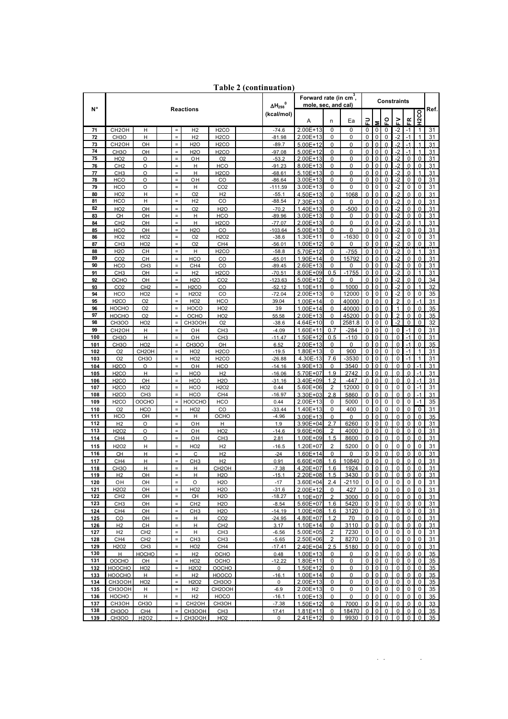|                    |                                         |                               |                      |                                   | 0<br>$\Delta H_{298}$                | Forward rate (in cm <sup>3</sup> ,<br>mole, sec, and cal) |                       | <b>Constraints</b>       |                 |                  |                          |                            |                               |                  |                         |                         |          |
|--------------------|-----------------------------------------|-------------------------------|----------------------|-----------------------------------|--------------------------------------|-----------------------------------------------------------|-----------------------|--------------------------|-----------------|------------------|--------------------------|----------------------------|-------------------------------|------------------|-------------------------|-------------------------|----------|
| N°                 |                                         |                               |                      | <b>Reactions</b>                  |                                      | (kcal/mol)                                                | A                     | n                        | Ea              | 긊                | 5                        | ဝူ                         | 2                             | 뚀                | H <sub>2CO</sub>        | Ref.                    |          |
| 71                 | CH <sub>2</sub> OH                      | Н                             | $\equiv$             | H <sub>2</sub>                    | H <sub>2</sub> CO                    |                                                           | $-74.6$               | 2.00E+13                 | 0               | 0                | $\mathbf 0$              | 0                          | 0                             | -2               | $-1$                    | $\mathbf{1}$            | 31       |
| 72                 | CH <sub>3</sub> O                       | н                             | $\equiv$             | H <sub>2</sub>                    | H <sub>2</sub> CO                    |                                                           | $-81.98$              | 2.00E+13                 | 0               | 0                | 0                        | $\mathbf 0$                | 0                             | $-2$             | $-1$                    | 1                       | 31       |
| 73                 | CH <sub>2</sub> OH                      | OH                            | $\equiv$             | <b>H2O</b>                        | H <sub>2</sub> CO                    |                                                           | $-89.7$               | 5.00E+12                 | 0               | 0                | $\mathbf 0$              | $\mathbf 0$                | 0                             | $-2$             | $-1$                    | 1                       | 31       |
| 74<br>75           | CH <sub>3</sub> O                       | OH                            | $\equiv$<br>$\equiv$ | <b>H2O</b>                        | H <sub>2</sub> CO                    |                                                           | $-97.08$<br>$-53.2$   | $5.00E+12$<br>2.00E+13   | 0<br>0          | 0<br>$\mathbf 0$ | $\Omega$<br>$\mathbf 0$  | $\Omega$                   | $\Omega$                      | -2               | $-1$<br>$\mathbf 0$     | 1                       | 31       |
| 76                 | HO <sub>2</sub><br>CH <sub>2</sub>      | $\circ$<br>$\circ$            | $\equiv$             | OH<br>H                           | O <sub>2</sub><br><b>HCO</b>         |                                                           | $-91.23$              | 8.00E+13                 | $\Omega$        | $\Omega$         | $\Omega$                 | $\bf{0}$<br>$\Omega$       | $\mathbf 0$<br>$\Omega$       | $-2$<br>-2       | $\Omega$                | 0<br>$\Omega$           | 31<br>31 |
| 77                 | CH <sub>3</sub>                         | O                             | $\equiv$             | H                                 | H <sub>2</sub> CO                    |                                                           | $-68.61$              | $5.10E+13$               | 0               | 0                | 0                        | $\mathbf 0$                | 0                             | $-2$             | $\mathbf 0$             | 1                       | 31       |
| 78                 | <b>HCO</b>                              | $\circ$                       | $=$                  | OH                                | CO                                   |                                                           | $-86.64$              | $3.00E + 13$             | $\Omega$        | 0                | $\Omega$                 | 0                          | $\Omega$                      | -2               | $\mathbf 0$             | 0                       | 31       |
| 79                 | <b>HCO</b>                              | O                             | $\equiv$             | H                                 | CO <sub>2</sub>                      |                                                           | $-111.59$             | 3.00E+13                 | 0               | 0                | 0                        | 0                          | 0                             | $-2$             | 0                       | 0                       | 31       |
| 80<br>81           | HO <sub>2</sub><br><b>HCO</b>           | H<br>н                        | $\equiv$<br>$\equiv$ | O <sub>2</sub><br>H <sub>2</sub>  | H <sub>2</sub><br>CO                 |                                                           | $-55.1$<br>$-88.54$   | 4.50E+13                 | 0<br>$\Omega$   | 1068<br>$\Omega$ | 0<br>$\Omega$            | $\mathbf 0$<br>$\Omega$    | 0                             | $-2$             | $\mathbf 0$<br>$\Omega$ | 0<br>$\Omega$           | 31       |
| 82                 | HO <sub>2</sub>                         | OH                            | $\equiv$             | O <sub>2</sub>                    | <b>H2O</b>                           |                                                           | $-70.2$               | 7.30E+13<br>1.40E+13     | 0               | $-500$           | 0                        | $\mathbf 0$                | $\Omega$<br>0                 | -2<br>$-2$       | $\mathbf 0$             | 0                       | 31<br>31 |
| 83                 | CH                                      | OH                            | $=$                  | Н                                 | <b>HCO</b>                           |                                                           | $-89.96$              | 3.00E+13                 | $\Omega$        | 0                | $\Omega$                 | $\mathbf 0$                | 0                             | -2               | $\mathbf 0$             | 0                       | 31       |
| 84                 | CH <sub>2</sub>                         | OH                            | $\equiv$             | H                                 | H <sub>2</sub> CO                    |                                                           | $-77.07$              | 2.00E+13                 | 0               | 0                | $\mathbf 0$              | $\mathbf 0$                | $\mathbf 0$                   | $-2$             | $\mathbf 0$             | 1                       | 31       |
| 85                 | <b>HCO</b>                              | OH                            | $=$                  | <b>H2O</b>                        | CO                                   |                                                           | $-103.64$             | $5.00E+13$               | $\Omega$        | 0                | $\Omega$                 | 0                          | $\Omega$                      | $-2$             | $\mathbf 0$             | 0                       | 31       |
| 86                 | HO <sub>2</sub>                         | HO <sub>2</sub>               | $\equiv$<br>$\equiv$ | O <sub>2</sub>                    | H <sub>2</sub> O <sub>2</sub>        |                                                           | $-38.6$               | 1.30E+11<br>1.00E+12     | 0<br>0          | $-1630$<br>0     | 0<br>0                   | 0<br>0                     | 0<br>0                        | $-2$             | $\mathbf 0$<br>0        | 0<br>0                  | 31       |
| 87<br>88           | CH <sub>3</sub><br>H <sub>2</sub> O     | HO <sub>2</sub><br>CH         | $\equiv$             | O <sub>2</sub><br>Η               | CH <sub>4</sub><br>H <sub>2</sub> CO |                                                           | $-56.01$<br>$-58.8$   | 5.70E+12                 | $\mathbf{0}$    | $-755$           | $\Omega$                 | 0                          | $\Omega$                      | -2<br>$-2$       | $\mathbf{0}$            | 1                       | 31<br>31 |
| 89                 | CO <sub>2</sub>                         | CH                            | $\equiv$             | <b>HCO</b>                        | CO                                   |                                                           | $-65.01$              | 1.90E+14                 | 0               | 15792            | $\mathbf 0$              | $\mathbf 0$                | $\mathbf 0$                   | $-2$             | $\mathbf 0$             | 0                       | 31       |
| 90                 | <b>HCO</b>                              | CH <sub>3</sub>               | $\equiv$             | CH <sub>4</sub>                   | CO                                   |                                                           | $-89.45$              | 2.60E+13                 | $\Omega$        | 0                | $\Omega$                 | $\mathbf 0$                | $\Omega$                      | $-2$             | $\mathbf 0$             | 0                       | 31       |
| 91                 | CH <sub>3</sub>                         | OH                            | $\equiv$             | H <sub>2</sub>                    | H <sub>2</sub> CO                    |                                                           | $-70.51$              | 8.00E+09                 | 0.5             | $-1755$          | $\mathbf 0$              | $\mathbf 0$                | 0                             | $-2$             | $\mathbf 0$             | 1                       | 31       |
| 92<br>93           | осно<br>CO <sub>2</sub>                 | OH<br>CH <sub>2</sub>         | $=$<br>$\equiv$      | <b>H2O</b><br>H <sub>2</sub> CO   | CO <sub>2</sub><br>CO                |                                                           | $-123.63$<br>$-52.12$ | 5.00E+12<br>$1.10E + 11$ | 0<br>0          | 0<br>1000        | $\Omega$<br>$\mathbf 0$  | $\Omega$<br>$\mathbf 0$    | $\Omega$<br>0                 | $-2$<br>$-2$     | 0<br>$\mathbf 0$        | 0<br>1                  | 34<br>32 |
| 94                 | <b>HCO</b>                              | HO <sub>2</sub>               | $=$                  | H <sub>2</sub> O <sub>2</sub>     | CO                                   |                                                           | $-72.04$              | 2.00E+13                 | 0               | 12000            | 0                        | 0                          | 0                             | -2               | 0                       | 0                       | 35       |
| 95                 | H <sub>2</sub> CO                       | O <sub>2</sub>                | $\equiv$             | HO <sub>2</sub>                   | <b>HCO</b>                           |                                                           | 39.04                 | 1.00E+14                 | $\Omega$        | 40000            | $\Omega$                 | $\mathbf 0$                | $\Omega$                      | $\overline{2}$   | $\mathbf 0$             | $-1$                    | 31       |
| 96                 | <b>НОСНО</b>                            | O <sub>2</sub>                | $\equiv$             | HOCO                              | HO <sub>2</sub>                      |                                                           | 39                    | 1.00E+14                 | $\Omega$        | 40000            | $\mathbf 0$              | $\mathbf 0$                | $\mathbf 0$                   | $\mathbf{1}$     | $\mathbf 0$             | 0                       | 35       |
| 97                 | <b>НОСНО</b>                            | O <sub>2</sub>                | $\equiv$             | OCHO                              | HO <sub>2</sub>                      |                                                           | 55.58                 | 2.00E+13                 | 0               | 45200            | $\Omega$                 | $\mathbf 0$                | $\Omega$                      | $\overline{2}$   | $\mathbf 0$             | 0                       | 35       |
| 98                 | <b>CH3OO</b>                            | HO <sub>2</sub>               | $\equiv$             | CH3OOH                            | O <sub>2</sub>                       |                                                           | $-38.6$               | 4.64E+10                 | 0               | 2581.8           | 0                        | $\mathbf 0$                | 0                             | $-2$             | $\mathbf 0$             | $\mathbf 0$             | 32       |
| 99<br>100          | CH <sub>2</sub> OH<br>CH <sub>3</sub> O | H<br>н                        | $\equiv$<br>$\equiv$ | OH<br>OН                          | CH <sub>3</sub><br>CH <sub>3</sub>   |                                                           | $-4.09$<br>$-11.47$   | 1.60E+11<br>1.50E+12     | 0.7<br>0.5      | $-284$<br>$-110$ | 0<br>$\mathbf 0$         | $\mathbf 0$<br>$\mathbf 0$ | 0<br>0                        | $\mathbf 0$<br>0 | $-1$<br>$-1$            | 0<br>0                  | 31<br>31 |
| 101                | CH <sub>3</sub> O                       | HO2                           | $\equiv$             | <b>CH3OO</b>                      | OH                                   |                                                           | 6.52                  | 2.00E+13                 | 0               | 0                | $\mathbf 0$              | $\mathbf 0$                | 0                             | 0                | $-1$                    | 0                       | 35       |
| 102                | O <sub>2</sub>                          | CH <sub>2</sub> OH            | $\equiv$             | HO <sub>2</sub>                   | H <sub>2</sub> CO                    |                                                           | $-19.5$               | 1.80E+13                 | 0               | 900              | $\Omega$                 | $\Omega$                   | $\Omega$                      | 0                | $-1$                    | $\mathbf{1}$            | 31       |
| 103                | O <sub>2</sub>                          | CH <sub>3</sub> O             | $\equiv$             | HO <sub>2</sub>                   | H <sub>2</sub> CO                    |                                                           | $-26.88$              | 4.30E-13                 | 7.6             | -3530            | $\mathbf 0$              | $\mathbf 0$                | 0                             | 0                | $-1$                    | $\mathbf{1}$            | 31       |
| 104                | H <sub>2</sub> CO                       | $\circ$                       | $\equiv$<br>$\equiv$ | OH                                | <b>HCO</b>                           |                                                           | $-14.16$              | 3.90E+13                 | $\Omega$        | 3540             | $\mathbf 0$              | $\mathbf 0$                | 0                             | 0                | $\mathbf 0$             | $-1$                    | 31       |
| 105<br>106         | H <sub>2</sub> CO<br>H <sub>2</sub> CO  | н<br>OH                       | $\equiv$             | <b>HCO</b><br><b>HCO</b>          | H <sub>2</sub><br><b>H2O</b>         |                                                           | $-16.06$<br>$-31.16$  | 5.70E+07<br>3.40E+09     | 1.9<br>1.2      | 2742<br>$-447$   | $\mathbf 0$<br>0         | $\mathbf 0$<br>$\mathbf 0$ | 0<br>0                        | 0<br>0           | 0<br>$\mathbf 0$        | $-1$<br>$-1$            | 31<br>31 |
| 107                | H <sub>2</sub> CO                       | HO <sub>2</sub>               | $\equiv$             | <b>HCO</b>                        | H <sub>2</sub> O <sub>2</sub>        |                                                           | 0.44                  | 5.60E+06                 | 2               | 12000            | 0                        | 0                          | 0                             | 0                | 0                       | $-1$                    | 31       |
| 108                | H <sub>2</sub> CO                       | CH <sub>3</sub>               | $\equiv$             | <b>HCO</b>                        | CH <sub>4</sub>                      |                                                           | $-16.97$              | 3.30E+03                 | 2.8             | 5860             | $\Omega$                 | $\Omega$                   | $\Omega$                      | 0                | $\mathbf{0}$            | $-1$                    | 31       |
| 109                | H <sub>2</sub> CO                       | OOCHO                         | $\equiv$             | <b>HOOCHO</b>                     | <b>HCO</b>                           |                                                           | 0.44                  | 2.00E+13                 | 0               | 5000             | 0                        | 0                          | 0                             | 0                | 0                       | $-1$                    | 35       |
| 110                | O <sub>2</sub>                          | <b>HCO</b>                    | $\equiv$             | HO <sub>2</sub>                   | CO                                   |                                                           | $-33.44$              | 1.40E+13                 | 0               | 400              | 0                        | 0                          | 0                             | 0                | 0                       | 0                       | 31       |
| 111<br>112         | HCO<br>H <sub>2</sub>                   | OH<br>O                       | $\equiv$<br>$\equiv$ | Н<br>ΟН                           | осно<br>н                            |                                                           | $-4.96$<br>1.9        | $3.00E + 13$<br>3.90E+04 | $\Omega$<br>2.7 | $\Omega$<br>6260 | $\Omega$<br>0            | $\Omega$<br>$\mathbf 0$    | $\Omega$<br>$\mathbf 0$       | $\Omega$<br>0    | $\Omega$<br>$\mathbf 0$ | $\Omega$<br>0           | 35<br>31 |
| 113                | <b>H2O2</b>                             | $\circ$                       | $\equiv$             | OH                                | HO <sub>2</sub>                      |                                                           | $-14.6$               | $9.60E + 06$             | $\overline{2}$  | 4000             | $\Omega$                 | 0                          | $\Omega$                      | $\Omega$         | $\mathbf 0$             | 0                       | 31       |
| 114                | CH <sub>4</sub>                         | O                             | $\equiv$             | OH                                | CH3                                  |                                                           | 2.81                  | 1.00E+09                 | 1.5             | 8600             | 0                        | $\mathbf 0$                | $\mathbf 0$                   | 0                | $\mathbf 0$             | $\mathbf 0$             | 31       |
| 115                | H <sub>2</sub> O <sub>2</sub>           | Η                             | $\equiv$             | HO <sub>2</sub>                   | H <sub>2</sub>                       |                                                           | $-16.5$               | 1.20E+07                 | 2               | 5200             | 0                        | 0                          | 0                             | 0                | 0                       | 0                       | 31       |
| 116                | CH                                      | Н                             | $\equiv$             | C                                 | H <sub>2</sub>                       |                                                           | $-24$                 | 1.60E+14                 | $\Omega$        | $\Omega$         | $\Omega$                 | $\Omega$                   | $\Omega$                      | 0                | $\Omega$                | 0                       | 31       |
| 117                | CH <sub>4</sub>                         | H                             | $\equiv$<br>$\equiv$ | CH <sub>3</sub>                   | H <sub>2</sub>                       |                                                           | 0.91                  | $6.60E + 08$             | 1.6<br>1.6      | 10840<br>1924    | 0<br>$\Omega$            | 0                          | $\Omega$<br>$\Omega$          | 0<br>$\Omega$    | $\mathbf 0$<br>$\Omega$ | 0                       | 31       |
| 118<br><u> 119</u> | CH <sub>3</sub> O<br>H2                 | Η<br>OН                       |                      | н<br>н                            | CH <sub>2</sub> OH<br><u>H2O</u>     |                                                           | $-7.38$<br>15.1       | 4.20E+07<br>2.20E+08     | 1.5             | 3430             |                          | 0                          |                               | 0                | 0                       | 0<br>O                  | 31<br>31 |
| 120                | OН                                      | OH                            | $\equiv$             | O                                 | <b>H2O</b>                           |                                                           | $-17$                 | 3.60E+04                 | 2.4             | $-2110$          | 0                        | 0                          | 0                             | 0                | 0                       | 0                       | 31       |
| 121                | H <sub>2</sub> O <sub>2</sub>           | OH                            | $\equiv$             | HO <sub>2</sub>                   | <b>H2O</b>                           |                                                           | $-31.6$               | 2.00E+12                 | 0               | 427              | $\Omega$                 | $\mathbf 0$                | $\Omega$                      | 0                | 0                       | 0                       | 31       |
| 122                | CH <sub>2</sub>                         | OH                            | $\equiv$             | CH                                | <b>H2O</b>                           |                                                           | $-18.27$              | $1.10E + 07$             | $\overline{2}$  | 3000             | $\mathbf 0$              | $\mathbf 0$                | $\mathbf 0$                   | 0                | 0                       | 0                       | 31       |
| 123<br><u>124</u>  | CH3<br>CH4                              | OH<br>OH                      | $\equiv$<br>$\equiv$ | CH <sub>2</sub><br><u>CH3</u>     | <b>H2O</b><br><b>H2O</b>             |                                                           | $-8.54$<br>$-14.19$   | 5.60E+07<br>$1.00E + 08$ | 1.6<br>1.6      | 5420<br>3120     | $\Omega$<br>$\mathbf{0}$ | $\Omega$<br>0              | $\Omega$<br>$\mathbf 0$       | 0<br>0           | 0<br>0                  | $\Omega$<br>0           | 31<br>31 |
| 125                | CO                                      | OH                            | $\equiv$             | н                                 | CO <sub>2</sub>                      |                                                           | $-24.95$              | 4.80E+07                 | 1.2             | 70               | $\Omega$                 |                            | 0 <sub>0</sub>                | 0                | 0                       | 0                       | 31       |
| 126                | H <sub>2</sub>                          | CH                            | $=$                  | Η                                 | CH <sub>2</sub>                      |                                                           | 3.17                  | 1.10E+14                 | 0               | 3110             | 0                        | 0                          | 0                             | 0                | 0                       | $\mathbf 0$             | 31       |
| 127                | H2                                      | CH <sub>2</sub>               | $\equiv$             | н                                 | CH <sub>3</sub>                      |                                                           | $-6.56$               | $5.00E + 05$             | 2               | 7230             | $\mathbf{0}$             | 0                          | 0                             | 0                | 0                       | 0                       | 31       |
| 128                | CH <sub>4</sub>                         | CH <sub>2</sub>               | $\equiv$             | CH <sub>3</sub>                   | CH <sub>3</sub>                      |                                                           | $-5.65$               | 2.50E+06                 | $\overline{2}$  | 8270             | $\mathbf 0$              | 0                          | 0                             | 0                | 0                       | 0                       | 31       |
| 129<br>130         | H <sub>2</sub> O <sub>2</sub><br>H      | CH <sub>3</sub><br>HOCHO      | $\equiv$<br>$\equiv$ | HO <sub>2</sub><br>H <sub>2</sub> | CH <sub>4</sub><br>ОСНО              |                                                           | $-17.41$<br>0.48      | 2.40E+04<br>1.00E+13     | 2.5<br>0        | 5180<br>0        | $\Omega$<br>$\Omega$     | 0                          | $\mathbf 0$<br>0 <sup>1</sup> | 0<br>0           | 0<br>0                  | 0<br>0                  | 31       |
| 131                | <b>OOCHO</b>                            | OH                            | $\equiv$             | HO <sub>2</sub>                   | OCHO                                 |                                                           | $-12.22$              | $1.80E + 11$             | 0               | 0                | 0                        | 0                          | $\mathbf 0$                   | 0                | $\mathbf 0$             | $\mathbf 0$             | 35<br>35 |
| 132                | HOOCHO                                  | HO <sub>2</sub>               | $\equiv$             | H <sub>2</sub> O <sub>2</sub>     | <b>OOCHO</b>                         |                                                           | $\mathbf 0$           | 1.50E+12                 | 0               | 0                | $\Omega$                 | 0                          | $\Omega$                      | 0                | 0                       | 0                       | 35       |
| 133                | HOOCHO                                  | H                             | $\equiv$             | H <sub>2</sub>                    | <b>HOOCO</b>                         |                                                           | <u>-16.1</u>          | 1.00E+14                 | 0               | 0                | $\mathbf 0$              | $\overline{0}$             | $\mathbf 0$                   | 0                | $\mathbf 0$             | 0                       | 35       |
| 134                | СНЗООН                                  | HO <sub>2</sub>               | $\equiv$             | H <sub>2</sub> O <sub>2</sub>     | <b>CH3OO</b>                         |                                                           | 0                     | 2.00E+13                 | 0               | 0                | $\Omega$                 | $\overline{0}$             | 0                             | 0                | 0                       | 0                       | 35       |
| 135<br>136         | CH3OOH<br>HOCHO                         | н<br>н                        | $\equiv$<br>$\equiv$ | H <sub>2</sub><br>H <sub>2</sub>  | CH <sub>2</sub> OOH<br><b>HOCO</b>   |                                                           | $-6.9$<br>$-16.1$     | 2.00E+13<br>$1.00E + 13$ | 0<br>0          | 0<br>0           | $\mathbf 0$<br>$\Omega$  | 0<br>$\mathbf 0$           | 0<br>$\Omega$                 | 0<br>0           | 0<br>$\mathbf 0$        | 0<br>0                  | 35<br>35 |
| 137                | CH3OH                                   | CH <sub>3</sub> O             | $\equiv$             | CH <sub>2</sub> OH                | CH3OH                                |                                                           | $-7.38$               | $1.50E + 12$             | 0               | 7000             | $\Omega$                 | $\mathbf 0$                | $\Omega$                      | $\Omega$         | 0                       | 0                       | 33       |
| 138                | <b>CH3OO</b>                            | CH <sub>4</sub>               | $\equiv$             | CH3OOH                            | CH3                                  |                                                           | 17.41                 | 1.81E+11                 | 0               | 18470            | $\mathbf{0}$             | $\mathbf{0}$               | $\mathbf 0$                   | 0                | $\mathbf 0$             | 0                       | 35       |
| 139                | <b>CH3OO</b>                            | H <sub>2</sub> O <sub>2</sub> | $=$                  | CH3OOH                            | HO2                                  |                                                           | $\mathbf 0$           | $2.41E+12$               | 0               | 9930             |                          |                            | $0\quad 0\quad 0$             | $\overline{0}$   | $\Omega$                | $\overline{\mathbf{0}}$ | 35       |

**Table 2 (continuation)**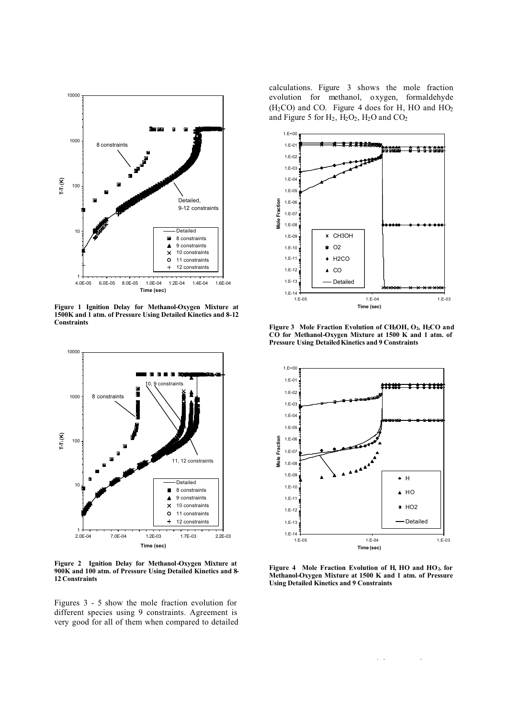

**Figure 1 Ignition Delay for Methanol-Oxygen Mixture at 1500K and 1 atm. of Pressure Using Detailed Kinetics and 8-12 Constraints**



**Figure 2 Ignition Delay for Methanol-Oxygen Mixture at 900K and 100 atm. of Pressure Using Detailed Kinetics and 8- 12 Constraints**

Figures 3 - 5 show the mole fraction evolution for different species using 9 constraints. Agreement is very good for all of them when compared to detailed calculations. Figure 3 shows the mole fraction evolution for methanol, oxygen, formaldehyde  $(H<sub>2</sub>CO)$  and CO. Figure 4 does for H, HO and HO<sub>2</sub> and Figure 5 for  $H_2$ ,  $H_2O_2$ ,  $H_2O$  and  $CO_2$ 



Figure 3 Mole Fraction Evolution of CH<sub>3</sub>OH, O<sub>2</sub>, H<sub>2</sub>CO and **CO for Methanol-Oxygen Mixture at 1500 K and 1 atm. of Pressure Using Detailed Kinetics and 9 Constraints**



**Figure 4 Mole Fraction Evolution of H, HO and HO2. for Methanol-Oxygen Mixture at 1500 K and 1 atm. of Pressure Using Detailed Kinetics and 9 Constraints**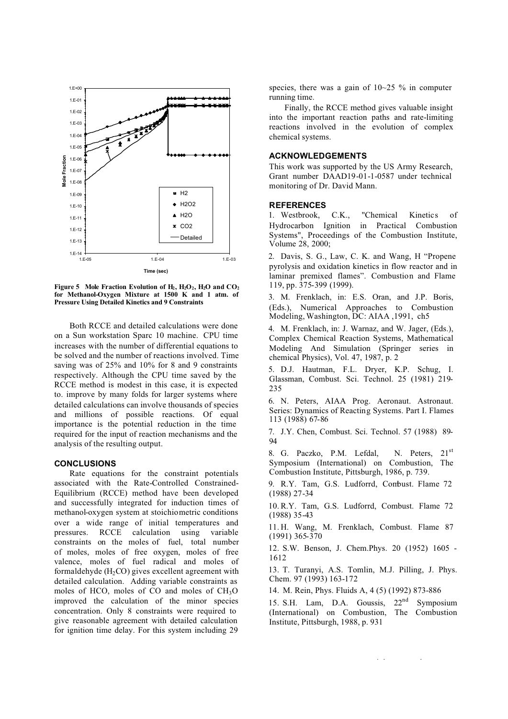

**Figure 5** Mole Fraction Evolution of  $H_2$ ,  $H_2O_2$ ,  $H_2O$  and  $CO_2$ **for Methanol-Oxygen Mixture at 1500 K and 1 atm. of Pressure Using Detailed Kinetics and 9 Constraints**

Both RCCE and detailed calculations were done on a Sun workstation Sparc 10 machine. CPU time increases with the number of differential equations to be solved and the number of reactions involved. Time saving was of 25% and 10% for 8 and 9 constraints respectively. Although the CPU time saved by the RCCE method is modest in this case, it is expected to. improve by many folds for larger systems where detailed calculations can involve thousands of species and millions of possible reactions. Of equal importance is the potential reduction in the time required for the input of reaction mechanisms and the analysis of the resulting output.

## **CONCLUSIONS**

Rate equations for the constraint potentials associated with the Rate-Controlled Constrained-Equilibrium (RCCE) method have been developed and successfully integrated for induction times of methanol-oxygen system at stoichiometric conditions over a wide range of initial temperatures and pressures. RCCE calculation using variable constraints on the moles of fuel, total number of moles, moles of free oxygen, moles of free valence, moles of fuel radical and moles of formaldehyde  $(H_2CO)$  gives excellent agreement with detailed calculation. Adding variable constraints as moles of HCO, moles of CO and moles of CH<sub>3</sub>O improved the calculation of the minor species concentration. Only 8 constraints were required to give reasonable agreement with detailed calculation for ignition time delay. For this system including 29

species, there was a gain of  $10-25$  % in computer running time.

Finally, the RCCE method gives valuable insight into the important reaction paths and rate-limiting reactions involved in the evolution of complex chemical systems.

## **ACKNOWLEDGEMENTS**

This work was supported by the US Army Research, Grant number DAAD19-01-1-0587 under technical monitoring of Dr. David Mann.

#### **REFERENCES**

1. Westbrook, C.K., "Chemical Kinetics of Hydrocarbon Ignition in Practical Combustion Systems", Proceedings of the Combustion Institute, Volume 28, 2000;

2. Davis, S. G., Law, C. K. and Wang, H "Propene pyrolysis and oxidation kinetics in flow reactor and in laminar premixed flames". Combustion and Flame 119, pp. 375-399 (1999).

3. M. Frenklach, in: E.S. Oran, and J.P. Boris, (Eds.), Numerical Approaches to Combustion Modeling, Washington, DC: AIAA ,1991, ch5

4. M. Frenklach, in: J. Warnaz, and W. Jager, (Eds.), Complex Chemical Reaction Systems, Mathematical Modeling And Simulation (Springer series in chemical Physics), Vol. 47, 1987, p. 2

5. D.J. Hautman, F.L. Dryer, K.P. Schug, I. Glassman, Combust. Sci. Technol. 25 (1981) 219- 235

6. N. Peters, AIAA Prog. Aeronaut. Astronaut. Series: Dynamics of Reacting Systems. Part I. Flames 113 (1988) 67-86

7. J.Y. Chen, Combust. Sci. Technol. 57 (1988) 89- 94

8. G. Paczko, P.M. Lefdal, N. Peters, 21<sup>st</sup> Symposium (International) on Combustion, The Combustion Institute, Pittsburgh, 1986, p. 739.

9. R.Y. Tam, G.S. Ludforrd, Combust. Flame 72 (1988) 27-34

10. R.Y. Tam, G.S. Ludforrd, Combust. Flame 72 (1988) 35-43

11. H. Wang, M. Frenklach, Combust. Flame 87 (1991) 365-370

12. S.W. Benson, J. Chem.Phys. 20 (1952) 1605 - 1612

13. T. Turanyi, A.S. Tomlin, M.J. Pilling, J. Phys. Chem. 97 (1993) 163-172

14. M. Rein, Phys. Fluids A, 4 (5) (1992) 873-886

15. S.H. Lam, D.A. Goussis,  $22<sup>nd</sup>$  Symposium (International) on Combustion, The Combustion Institute, Pittsburgh, 1988, p. 931